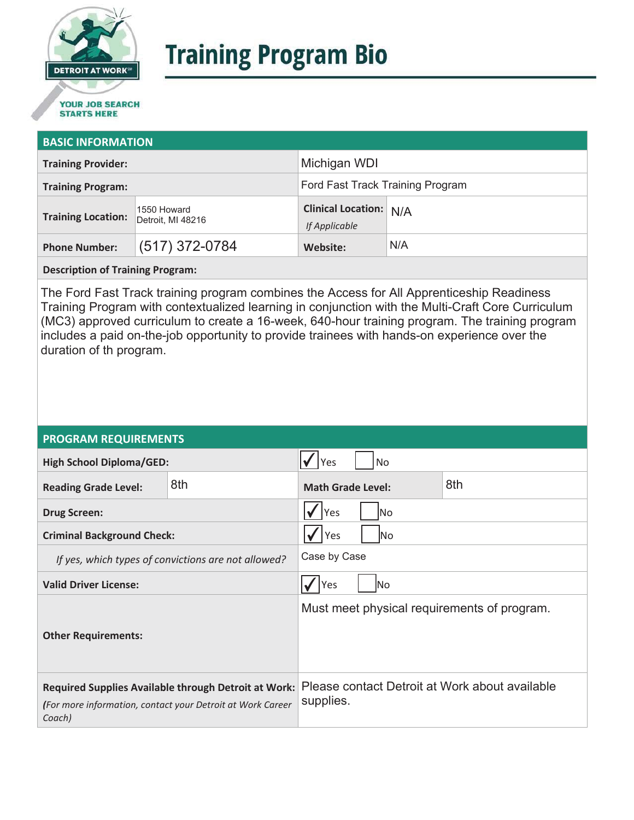

# **Training Program Bio**

## **STARTS HERE**

#### **BASIC INFORMATION**

| <b>Training Provider:</b> |                                  | Michigan WDI                                   |     |
|---------------------------|----------------------------------|------------------------------------------------|-----|
| <b>Training Program:</b>  |                                  | Ford Fast Track Training Program               |     |
| <b>Training Location:</b> | 1550 Howard<br>Detroit, MI 48216 | <b>Clinical Location: N/A</b><br>If Applicable |     |
| <b>Phone Number:</b>      | $(517)$ 372-0784                 | Website:                                       | N/A |

**Description of Training Program:** 

The Ford Fast Track training program combines the Access for All Apprenticeship Readiness Training Program with contextualized learning in conjunction with the Multi-Craft Core Curriculum (MC3) approved curriculum to create a 16-week, 640-hour training program. The training program includes a paid on-the-job opportunity to provide trainees with hands-on experience over the duration of th program.

#### **PROGRAM REQUIREMENTS**

| <b>High School Diploma/GED:</b>                                                                                                     |     | No<br>Yes                                                   |  |  |
|-------------------------------------------------------------------------------------------------------------------------------------|-----|-------------------------------------------------------------|--|--|
| <b>Reading Grade Level:</b>                                                                                                         | 8th | 8th<br><b>Math Grade Level:</b>                             |  |  |
| <b>Drug Screen:</b>                                                                                                                 |     | Yes<br>No.                                                  |  |  |
| <b>Criminal Background Check:</b>                                                                                                   |     | Yes<br>lNo                                                  |  |  |
| If yes, which types of convictions are not allowed?                                                                                 |     | Case by Case                                                |  |  |
| <b>Valid Driver License:</b>                                                                                                        |     | Yes<br>lNo                                                  |  |  |
| <b>Other Requirements:</b>                                                                                                          |     | Must meet physical requirements of program.                 |  |  |
| <b>Required Supplies Available through Detroit at Work:</b><br>(For more information, contact your Detroit at Work Career<br>Coach) |     | Please contact Detroit at Work about available<br>supplies. |  |  |